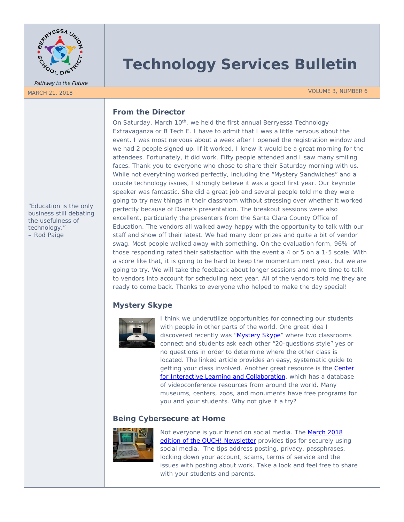

Pathway to the Future

# **Technology Services Bulletin**

MARCH 21, 2018 VOLUME 3, NUMBER 6

# **From the Director**

On Saturday, March 10<sup>th</sup>, we held the first annual Berryessa Technology Extravaganza or B Tech E. I have to admit that I was a little nervous about the event. I was most nervous about a week after I opened the registration window and we had 2 people signed up. If it worked, I knew it would be a great morning for the attendees. Fortunately, it did work. Fifty people attended and I saw many smiling faces. Thank you to everyone who chose to share their Saturday morning with us. While not everything worked perfectly, including the "Mystery Sandwiches" and a couple technology issues, I strongly believe it was a good first year. Our keynote speaker was fantastic. She did a great job and several people told me they were going to try new things in their classroom without stressing over whether it worked perfectly because of Diane's presentation. The breakout sessions were also excellent, particularly the presenters from the Santa Clara County Office of Education. The vendors all walked away happy with the opportunity to talk with our staff and show off their latest. We had many door prizes and quite a bit of vendor swag. Most people walked away with something. On the evaluation form, 96% of those responding rated their satisfaction with the event a 4 or 5 on a 1-5 scale. With a score like that, it is going to be hard to keep the momentum next year, but we are going to try. We will take the feedback about longer sessions and more time to talk to vendors into account for scheduling next year. All of the vendors told me they are ready to come back. Thanks to everyone who helped to make the day special!

# **Mystery Skype**



I think we underutilize opportunities for connecting our students with people in other parts of the world. One great idea I discovered recently was ["Mystery Skype"](http://mrkempnz.com/2018/03/what-is-mystery-skype-a-2018-update.html) where two classrooms connect and students ask each other "20-questions style" yes or no questions in order to determine where the other class is located. The linked article provides an easy, systematic guide to getting your class involved. Another great resource is the **Center** [for Interactive Learning and Collaboration,](https://www.cilc.org/) which has a database of videoconference resources from around the world. Many museums, centers, zoos, and monuments have free programs for you and your students. Why not give it a try?

# **Being Cybersecure at Home**



Not everyone is your friend on social media. The March 2018 [edition of the OUCH! Newsletter](https://www.sans.org/sites/default/files/2018-03/201803-OUCH-March-English_0.pdf) provides tips for securely using social media. The tips address posting, privacy, passphrases, locking down your account, scams, terms of service and the issues with posting about work. Take a look and feel free to share with your students and parents.

*"Education is the only business still debating the usefulness of technology." – Rod Paige*